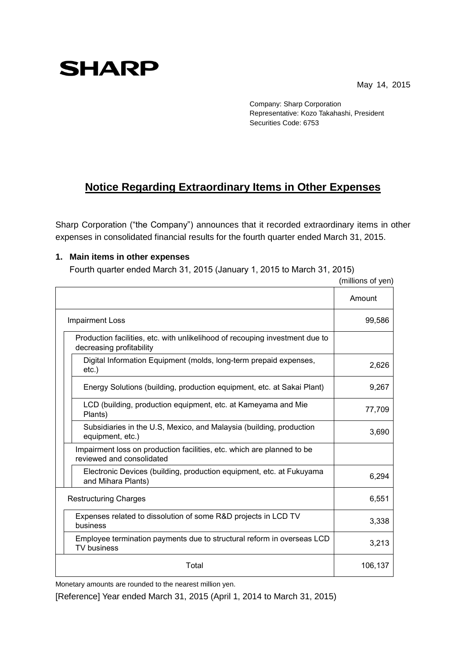May 14, 2015

## **SHARP**

Company: Sharp Corporation Representative: Kozo Takahashi, President Securities Code: 6753

## **Notice Regarding Extraordinary Items in Other Expenses**

Sharp Corporation ("the Company") announces that it recorded extraordinary items in other expenses in consolidated financial results for the fourth quarter ended March 31, 2015.

## **1. Main items in other expenses**

Fourth quarter ended March 31, 2015 (January 1, 2015 to March 31, 2015)

|  |                                                                                                          | Amount  |
|--|----------------------------------------------------------------------------------------------------------|---------|
|  | <b>Impairment Loss</b>                                                                                   | 99,586  |
|  | Production facilities, etc. with unlikelihood of recouping investment due to<br>decreasing profitability |         |
|  | Digital Information Equipment (molds, long-term prepaid expenses,<br>$etc.$ )                            | 2,626   |
|  | Energy Solutions (building, production equipment, etc. at Sakai Plant)                                   | 9,267   |
|  | LCD (building, production equipment, etc. at Kameyama and Mie<br>Plants)                                 | 77,709  |
|  | Subsidiaries in the U.S, Mexico, and Malaysia (building, production<br>equipment, etc.)                  | 3,690   |
|  | Impairment loss on production facilities, etc. which are planned to be<br>reviewed and consolidated      |         |
|  | Electronic Devices (building, production equipment, etc. at Fukuyama<br>and Mihara Plants)               | 6,294   |
|  | <b>Restructuring Charges</b>                                                                             | 6,551   |
|  | Expenses related to dissolution of some R&D projects in LCD TV<br>business                               | 3,338   |
|  | Employee termination payments due to structural reform in overseas LCD<br><b>TV</b> business             | 3,213   |
|  | Total                                                                                                    | 106,137 |

(millions of yen)

Monetary amounts are rounded to the nearest million yen.

[Reference] Year ended March 31, 2015 (April 1, 2014 to March 31, 2015)